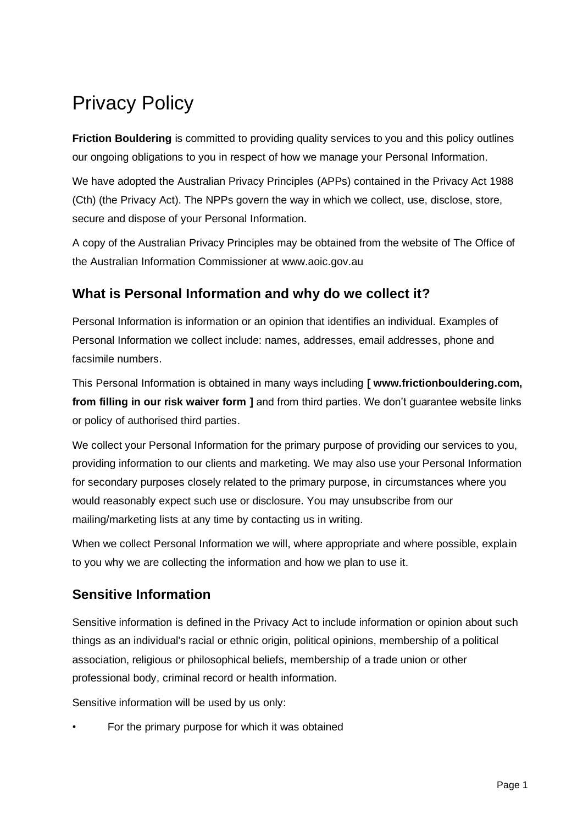# Privacy Policy

**Friction Bouldering** is committed to providing quality services to you and this policy outlines our ongoing obligations to you in respect of how we manage your Personal Information.

We have adopted the Australian Privacy Principles (APPs) contained in the Privacy Act 1988 (Cth) (the Privacy Act). The NPPs govern the way in which we collect, use, disclose, store, secure and dispose of your Personal Information.

A copy of the Australian Privacy Principles may be obtained from the website of The Office of the Australian Information Commissioner at www.aoic.gov.au

## **What is Personal Information and why do we collect it?**

Personal Information is information or an opinion that identifies an individual. Examples of Personal Information we collect include: names, addresses, email addresses, phone and facsimile numbers.

This Personal Information is obtained in many ways including **[ www.frictionbouldering.com, from filling in our risk waiver form ]** and from third parties. We don't guarantee website links or policy of authorised third parties.

We collect your Personal Information for the primary purpose of providing our services to you, providing information to our clients and marketing. We may also use your Personal Information for secondary purposes closely related to the primary purpose, in circumstances where you would reasonably expect such use or disclosure. You may unsubscribe from our mailing/marketing lists at any time by contacting us in writing.

When we collect Personal Information we will, where appropriate and where possible, explain to you why we are collecting the information and how we plan to use it.

## **Sensitive Information**

Sensitive information is defined in the Privacy Act to include information or opinion about such things as an individual's racial or ethnic origin, political opinions, membership of a political association, religious or philosophical beliefs, membership of a trade union or other professional body, criminal record or health information.

Sensitive information will be used by us only:

• For the primary purpose for which it was obtained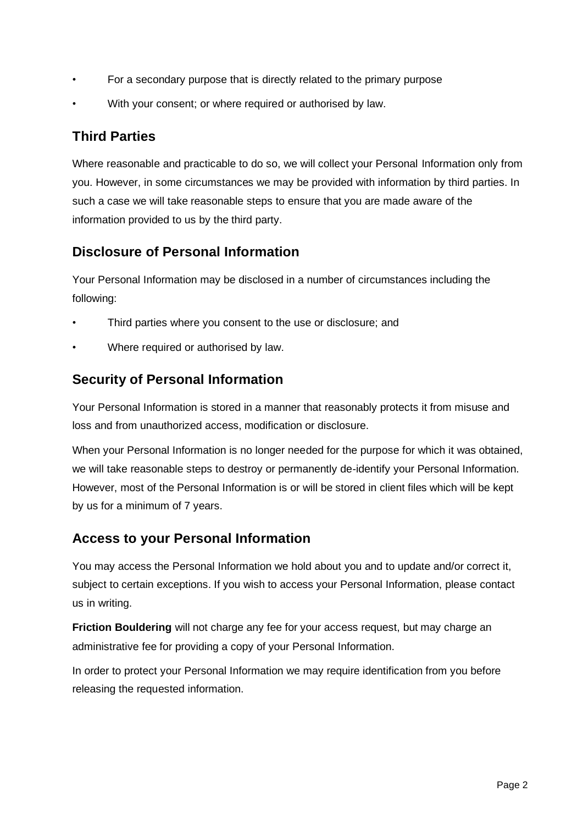- For a secondary purpose that is directly related to the primary purpose
- With your consent; or where required or authorised by law.

#### **Third Parties**

Where reasonable and practicable to do so, we will collect your Personal Information only from you. However, in some circumstances we may be provided with information by third parties. In such a case we will take reasonable steps to ensure that you are made aware of the information provided to us by the third party.

### **Disclosure of Personal Information**

Your Personal Information may be disclosed in a number of circumstances including the following:

- Third parties where you consent to the use or disclosure; and
- Where required or authorised by law.

### **Security of Personal Information**

Your Personal Information is stored in a manner that reasonably protects it from misuse and loss and from unauthorized access, modification or disclosure.

When your Personal Information is no longer needed for the purpose for which it was obtained, we will take reasonable steps to destroy or permanently de-identify your Personal Information. However, most of the Personal Information is or will be stored in client files which will be kept by us for a minimum of 7 years.

### **Access to your Personal Information**

You may access the Personal Information we hold about you and to update and/or correct it, subject to certain exceptions. If you wish to access your Personal Information, please contact us in writing.

**Friction Bouldering** will not charge any fee for your access request, but may charge an administrative fee for providing a copy of your Personal Information.

In order to protect your Personal Information we may require identification from you before releasing the requested information.